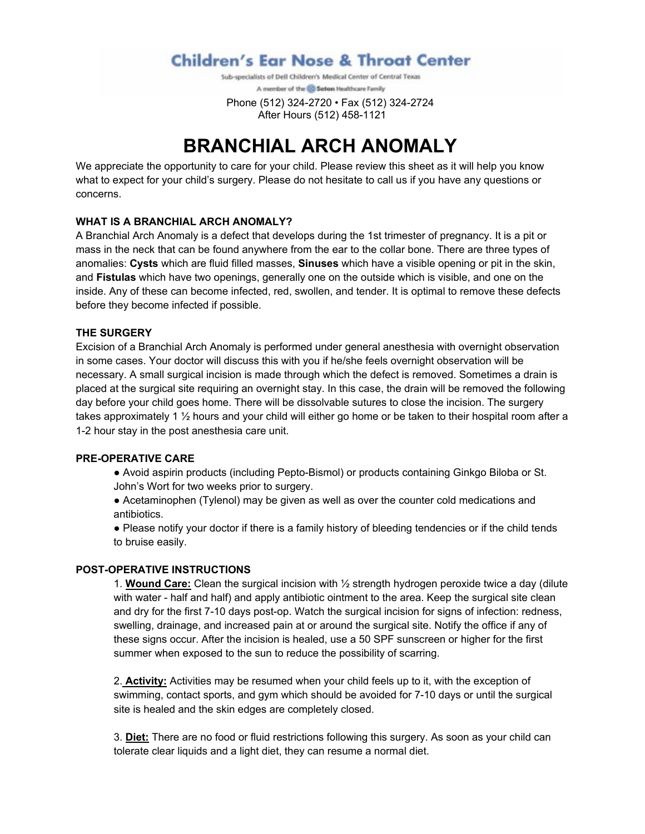**Children's Ear Nose & Throat Center** 

Sub-specialists of Dell Children's Medical Center of Central Texas A member of the @ Seton Healthcare Family

 Phone (512) 324-2720 • Fax (512) 324-2724 After Hours (512) 458-1121

# **BRANCHIAL ARCH ANOMALY**

We appreciate the opportunity to care for your child. Please review this sheet as it will help you know what to expect for your child's surgery. Please do not hesitate to call us if you have any questions or concerns.

#### **WHAT IS A BRANCHIAL ARCH ANOMALY?**

A Branchial Arch Anomaly is a defect that develops during the 1st trimester of pregnancy. It is a pit or mass in the neck that can be found anywhere from the ear to the collar bone. There are three types of anomalies: **Cysts** which are fluid filled masses, **Sinuses** which have a visible opening or pit in the skin, and **Fistulas** which have two openings, generally one on the outside which is visible, and one on the inside. Any of these can become infected, red, swollen, and tender. It is optimal to remove these defects before they become infected if possible.

# **THE SURGERY**

Excision of a Branchial Arch Anomaly is performed under general anesthesia with overnight observation in some cases. Your doctor will discuss this with you if he/she feels overnight observation will be necessary. A small surgical incision is made through which the defect is removed. Sometimes a drain is placed at the surgical site requiring an overnight stay. In this case, the drain will be removed the following day before your child goes home. There will be dissolvable sutures to close the incision. The surgery takes approximately 1 ½ hours and your child will either go home or be taken to their hospital room after a 1-2 hour stay in the post anesthesia care unit.

#### **PRE-OPERATIVE CARE**

- Avoid aspirin products (including Pepto-Bismol) or products containing Ginkgo Biloba or St. John's Wort for two weeks prior to surgery.
- Acetaminophen (Tylenol) may be given as well as over the counter cold medications and antibiotics.
- Please notify your doctor if there is a family history of bleeding tendencies or if the child tends to bruise easily.

#### **POST-OPERATIVE INSTRUCTIONS**

1. **Wound Care:** Clean the surgical incision with ½ strength hydrogen peroxide twice a day (dilute with water - half and half) and apply antibiotic ointment to the area. Keep the surgical site clean and dry for the first 7-10 days post-op. Watch the surgical incision for signs of infection: redness, swelling, drainage, and increased pain at or around the surgical site. Notify the office if any of these signs occur. After the incision is healed, use a 50 SPF sunscreen or higher for the first summer when exposed to the sun to reduce the possibility of scarring.

2. **Activity:** Activities may be resumed when your child feels up to it, with the exception of swimming, contact sports, and gym which should be avoided for 7-10 days or until the surgical site is healed and the skin edges are completely closed.

3. **Diet:** There are no food or fluid restrictions following this surgery. As soon as your child can tolerate clear liquids and a light diet, they can resume a normal diet.